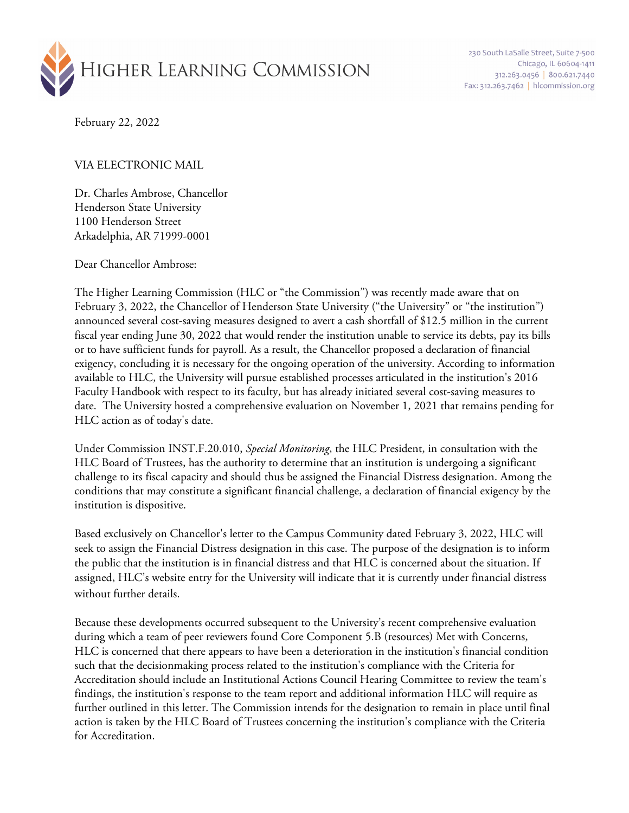

230 South LaSalle Street, Suite 7-500 Chicago, IL 60604-1411 312.263.0456 800.621.7440 Fax: 312.263.7462 | hlcommission.org

February 22, 2022

#### VIA ELECTRONIC MAIL

Dr. Charles Ambrose, Chancellor Henderson State University 1100 Henderson Street Arkadelphia, AR 71999-0001

Dear Chancellor Ambrose:

The Higher Learning Commission (HLC or "the Commission") was recently made aware that on February 3, 2022, the Chancellor of Henderson State University ("the University" or "the institution") announced several cost-saving measures designed to avert a cash shortfall of \$12.5 million in the current fiscal year ending June 30, 2022 that would render the institution unable to service its debts, pay its bills or to have sufficient funds for payroll. As a result, the Chancellor proposed a declaration of financial exigency, concluding it is necessary for the ongoing operation of the university. According to information available to HLC, the University will pursue established processes articulated in the institution's 2016 Faculty Handbook with respect to its faculty, but has already initiated several cost-saving measures to date. The University hosted a comprehensive evaluation on November 1, 2021 that remains pending for HLC action as of today's date.

Under Commission INST.F.20.010, *Special Monitoring*, the HLC President, in consultation with the HLC Board of Trustees, has the authority to determine that an institution is undergoing a significant challenge to its fiscal capacity and should thus be assigned the Financial Distress designation. Among the conditions that may constitute a significant financial challenge, a declaration of financial exigency by the institution is dispositive.

Based exclusively on Chancellor's letter to the Campus Community dated February 3, 2022, HLC will seek to assign the Financial Distress designation in this case. The purpose of the designation is to inform the public that the institution is in financial distress and that HLC is concerned about the situation. If assigned, HLC's website entry for the University will indicate that it is currently under financial distress without further details.

Because these developments occurred subsequent to the University's recent comprehensive evaluation during which a team of peer reviewers found Core Component 5.B (resources) Met with Concerns, HLC is concerned that there appears to have been a deterioration in the institution's financial condition such that the decisionmaking process related to the institution's compliance with the Criteria for Accreditation should include an Institutional Actions Council Hearing Committee to review the team's findings, the institution's response to the team report and additional information HLC will require as further outlined in this letter. The Commission intends for the designation to remain in place until final action is taken by the HLC Board of Trustees concerning the institution's compliance with the Criteria for Accreditation.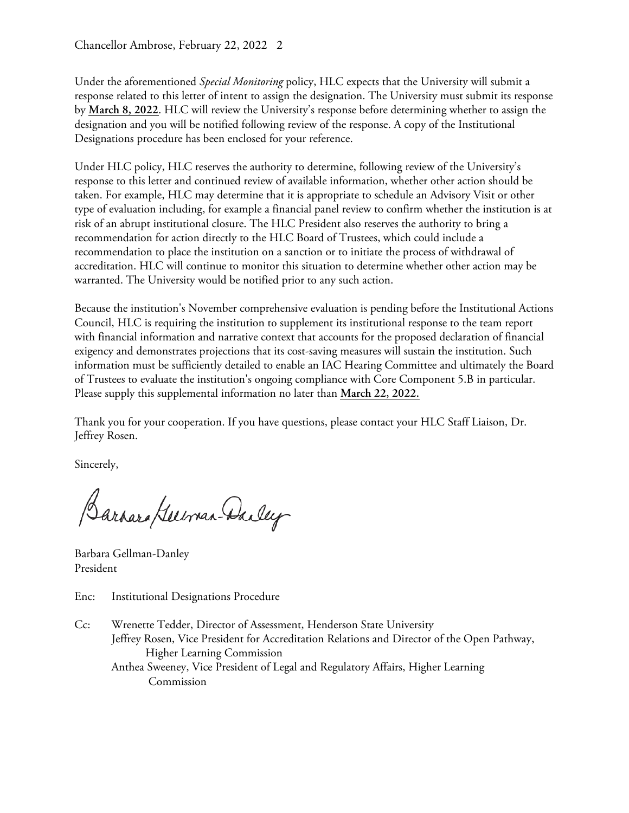Chancellor Ambrose, February 22, 2022 2

Under the aforementioned *Special Monitoring* policy, HLC expects that the University will submit a response related to this letter of intent to assign the designation. The University must submit its response by **March 8, 2022**. HLC will review the University's response before determining whether to assign the designation and you will be notified following review of the response. A copy of the Institutional Designations procedure has been enclosed for your reference.

Under HLC policy, HLC reserves the authority to determine, following review of the University's response to this letter and continued review of available information, whether other action should be taken. For example, HLC may determine that it is appropriate to schedule an Advisory Visit or other type of evaluation including, for example a financial panel review to confirm whether the institution is at risk of an abrupt institutional closure. The HLC President also reserves the authority to bring a recommendation for action directly to the HLC Board of Trustees, which could include a recommendation to place the institution on a sanction or to initiate the process of withdrawal of accreditation. HLC will continue to monitor this situation to determine whether other action may be warranted. The University would be notified prior to any such action.

Because the institution's November comprehensive evaluation is pending before the Institutional Actions Council, HLC is requiring the institution to supplement its institutional response to the team report with financial information and narrative context that accounts for the proposed declaration of financial exigency and demonstrates projections that its cost-saving measures will sustain the institution. Such information must be sufficiently detailed to enable an IAC Hearing Committee and ultimately the Board of Trustees to evaluate the institution's ongoing compliance with Core Component 5.B in particular. Please supply this supplemental information no later than **March 22, 2022.**

Thank you for your cooperation. If you have questions, please contact your HLC Staff Liaison, Dr. Jeffrey Rosen.

Sincerely,

Barrara Guerran-Dailey

Barbara Gellman-Danley President

Enc: Institutional Designations Procedure

Cc: Wrenette Tedder, Director of Assessment, Henderson State University Jeffrey Rosen, Vice President for Accreditation Relations and Director of the Open Pathway, Higher Learning Commission Anthea Sweeney, Vice President of Legal and Regulatory Affairs, Higher Learning Commission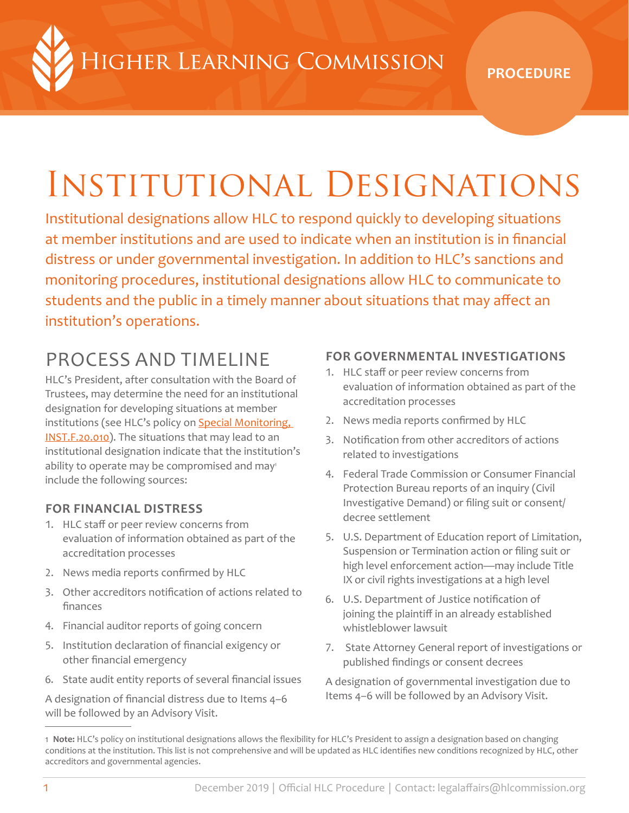HIGHER LEARNING COMMISSION

# Institutional Designations

Institutional designations allow HLC to respond quickly to developing situations at member institutions and are used to indicate when an institution is in financial distress or under governmental investigation. In addition to HLC's sanctions and monitoring procedures, institutional designations allow HLC to communicate to students and the public in a timely manner about situations that may affect an institution's operations.

# PROCESS AND TIMELINE

HLC's President, after consultation with the Board of Trustees, may determine the need for an institutional designation for developing situations at member institutions (see HLC's policy on **Special Monitoring**, [INST.F.20.010](https://www.hlcommission.org/Policies/special-monitoring.html)). The situations that may lead to an institutional designation indicate that the institution's ability to operate may be compromised and may<sup>1</sup> include the following sources:

#### **FOR FINANCIAL DISTRESS**

- 1. HLC staff or peer review concerns from evaluation of information obtained as part of the accreditation processes
- 2. News media reports confirmed by HLC
- 3. Other accreditors notification of actions related to finances
- 4. Financial auditor reports of going concern
- 5. Institution declaration of financial exigency or other financial emergency
- 6. State audit entity reports of several financial issues

A designation of financial distress due to Items 4–6 will be followed by an Advisory Visit.

#### **FOR GOVERNMENTAL INVESTIGATIONS**

- 1. HLC staff or peer review concerns from evaluation of information obtained as part of the accreditation processes
- 2. News media reports confirmed by HLC
- 3. Notification from other accreditors of actions related to investigations
- 4. Federal Trade Commission or Consumer Financial Protection Bureau reports of an inquiry (Civil Investigative Demand) or filing suit or consent/ decree settlement
- 5. U.S. Department of Education report of Limitation, Suspension or Termination action or filing suit or high level enforcement action—may include Title IX or civil rights investigations at a high level
- 6. U.S. Department of Justice notification of joining the plaintiff in an already established whistleblower lawsuit
- 7. State Attorney General report of investigations or published findings or consent decrees

A designation of governmental investigation due to Items 4–6 will be followed by an Advisory Visit.

<sup>1</sup> **Note:** HLC's policy on institutional designations allows the flexibility for HLC's President to assign a designation based on changing conditions at the institution. This list is not comprehensive and will be updated as HLC identifies new conditions recognized by HLC, other accreditors and governmental agencies.